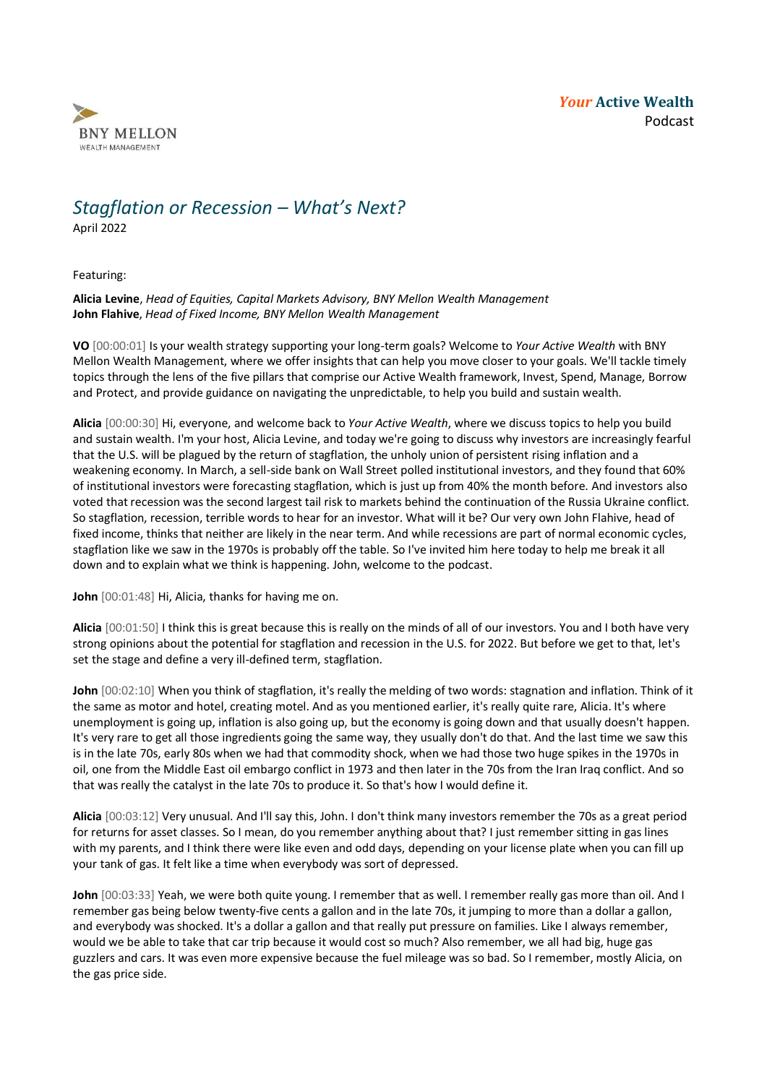

## *Stagflation or Recession – What's Next?*

April 2022

Featuring:

**Alicia Levine**, *Head of Equities, Capital Markets Advisory, BNY Mellon Wealth Management* **John Flahive**, *Head of Fixed Income, BNY Mellon Wealth Management*

**VO** [00:00:01] Is your wealth strategy supporting your long-term goals? Welcome to *Your Active Wealth* with BNY Mellon Wealth Management, where we offer insights that can help you move closer to your goals. We'll tackle timely topics through the lens of the five pillars that comprise our Active Wealth framework, Invest, Spend, Manage, Borrow and Protect, and provide guidance on navigating the unpredictable, to help you build and sustain wealth.

**Alicia** [00:00:30] Hi, everyone, and welcome back to *Your Active Wealth*, where we discuss topics to help you build and sustain wealth. I'm your host, Alicia Levine, and today we're going to discuss why investors are increasingly fearful that the U.S. will be plagued by the return of stagflation, the unholy union of persistent rising inflation and a weakening economy. In March, a sell-side bank on Wall Street polled institutional investors, and they found that 60% of institutional investors were forecasting stagflation, which is just up from 40% the month before. And investors also voted that recession was the second largest tail risk to markets behind the continuation of the Russia Ukraine conflict. So stagflation, recession, terrible words to hear for an investor. What will it be? Our very own John Flahive, head of fixed income, thinks that neither are likely in the near term. And while recessions are part of normal economic cycles, stagflation like we saw in the 1970s is probably off the table. So I've invited him here today to help me break it all down and to explain what we think is happening. John, welcome to the podcast.

**John** [00:01:48] Hi, Alicia, thanks for having me on.

**Alicia** [00:01:50] I think this is great because this is really on the minds of all of our investors. You and I both have very strong opinions about the potential for stagflation and recession in the U.S. for 2022. But before we get to that, let's set the stage and define a very ill-defined term, stagflation.

**John** [00:02:10] When you think of stagflation, it's really the melding of two words: stagnation and inflation. Think of it the same as motor and hotel, creating motel. And as you mentioned earlier, it's really quite rare, Alicia. It's where unemployment is going up, inflation is also going up, but the economy is going down and that usually doesn't happen. It's very rare to get all those ingredients going the same way, they usually don't do that. And the last time we saw this is in the late 70s, early 80s when we had that commodity shock, when we had those two huge spikes in the 1970s in oil, one from the Middle East oil embargo conflict in 1973 and then later in the 70s from the Iran Iraq conflict. And so that was really the catalyst in the late 70s to produce it. So that's how I would define it.

**Alicia** [00:03:12] Very unusual. And I'll say this, John. I don't think many investors remember the 70s as a great period for returns for asset classes. So I mean, do you remember anything about that? I just remember sitting in gas lines with my parents, and I think there were like even and odd days, depending on your license plate when you can fill up your tank of gas. It felt like a time when everybody was sort of depressed.

**John** [00:03:33] Yeah, we were both quite young. I remember that as well. I remember really gas more than oil. And I remember gas being below twenty-five cents a gallon and in the late 70s, it jumping to more than a dollar a gallon, and everybody was shocked. It's a dollar a gallon and that really put pressure on families. Like I always remember, would we be able to take that car trip because it would cost so much? Also remember, we all had big, huge gas guzzlers and cars. It was even more expensive because the fuel mileage was so bad. So I remember, mostly Alicia, on the gas price side.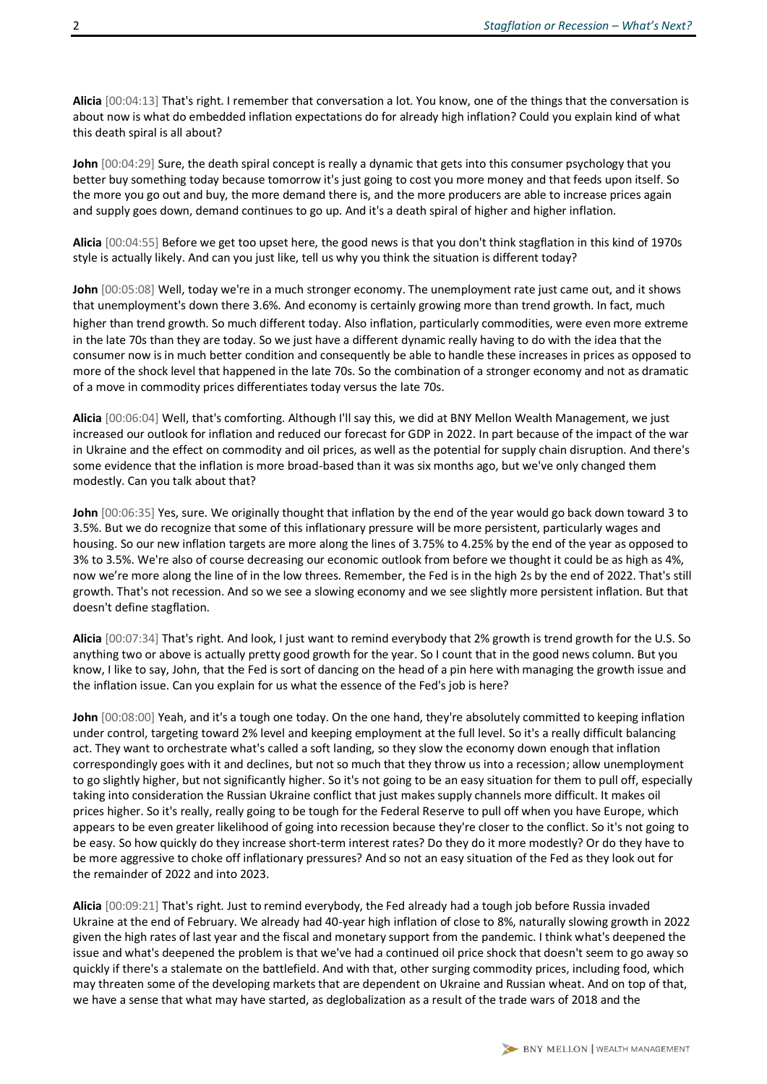**Alicia** [00:04:13] That's right. I remember that conversation a lot. You know, one of the things that the conversation is about now is what do embedded inflation expectations do for already high inflation? Could you explain kind of what this death spiral is all about?

**John** [00:04:29] Sure, the death spiral concept is really a dynamic that gets into this consumer psychology that you better buy something today because tomorrow it's just going to cost you more money and that feeds upon itself. So the more you go out and buy, the more demand there is, and the more producers are able to increase prices again and supply goes down, demand continues to go up. And it's a death spiral of higher and higher inflation.

**Alicia** [00:04:55] Before we get too upset here, the good news is that you don't think stagflation in this kind of 1970s style is actually likely. And can you just like, tell us why you think the situation is different today?

**John** [00:05:08] Well, today we're in a much stronger economy. The unemployment rate just came out, and it shows that unemployment's down there 3.6%. And economy is certainly growing more than trend growth. In fact, much higher than trend growth. So much different today. Also inflation, particularly commodities, were even more extreme in the late 70s than they are today. So we just have a different dynamic really having to do with the idea that the consumer now is in much better condition and consequently be able to handle these increases in prices as opposed to more of the shock level that happened in the late 70s. So the combination of a stronger economy and not as dramatic of a move in commodity prices differentiates today versus the late 70s.

**Alicia** [00:06:04] Well, that's comforting. Although I'll say this, we did at BNY Mellon Wealth Management, we just increased our outlook for inflation and reduced our forecast for GDP in 2022. In part because of the impact of the war in Ukraine and the effect on commodity and oil prices, as well as the potential for supply chain disruption. And there's some evidence that the inflation is more broad-based than it was six months ago, but we've only changed them modestly. Can you talk about that?

**John** [00:06:35] Yes, sure. We originally thought that inflation by the end of the year would go back down toward 3 to 3.5%. But we do recognize that some of this inflationary pressure will be more persistent, particularly wages and housing. So our new inflation targets are more along the lines of 3.75% to 4.25% by the end of the year as opposed to 3% to 3.5%. We're also of course decreasing our economic outlook from before we thought it could be as high as 4%, now we're more along the line of in the low threes. Remember, the Fed is in the high 2s by the end of 2022. That's still growth. That's not recession. And so we see a slowing economy and we see slightly more persistent inflation. But that doesn't define stagflation.

**Alicia** [00:07:34] That's right. And look, I just want to remind everybody that 2% growth is trend growth for the U.S. So anything two or above is actually pretty good growth for the year. So I count that in the good news column. But you know, I like to say, John, that the Fed is sort of dancing on the head of a pin here with managing the growth issue and the inflation issue. Can you explain for us what the essence of the Fed's job is here?

**John** [00:08:00] Yeah, and it's a tough one today. On the one hand, they're absolutely committed to keeping inflation under control, targeting toward 2% level and keeping employment at the full level. So it's a really difficult balancing act. They want to orchestrate what's called a soft landing, so they slow the economy down enough that inflation correspondingly goes with it and declines, but not so much that they throw us into a recession; allow unemployment to go slightly higher, but not significantly higher. So it's not going to be an easy situation for them to pull off, especially taking into consideration the Russian Ukraine conflict that just makes supply channels more difficult. It makes oil prices higher. So it's really, really going to be tough for the Federal Reserve to pull off when you have Europe, which appears to be even greater likelihood of going into recession because they're closer to the conflict. So it's not going to be easy. So how quickly do they increase short-term interest rates? Do they do it more modestly? Or do they have to be more aggressive to choke off inflationary pressures? And so not an easy situation of the Fed as they look out for the remainder of 2022 and into 2023.

**Alicia** [00:09:21] That's right. Just to remind everybody, the Fed already had a tough job before Russia invaded Ukraine at the end of February. We already had 40-year high inflation of close to 8%, naturally slowing growth in 2022 given the high rates of last year and the fiscal and monetary support from the pandemic. I think what's deepened the issue and what's deepened the problem is that we've had a continued oil price shock that doesn't seem to go away so quickly if there's a stalemate on the battlefield. And with that, other surging commodity prices, including food, which may threaten some of the developing markets that are dependent on Ukraine and Russian wheat. And on top of that, we have a sense that what may have started, as deglobalization as a result of the trade wars of 2018 and the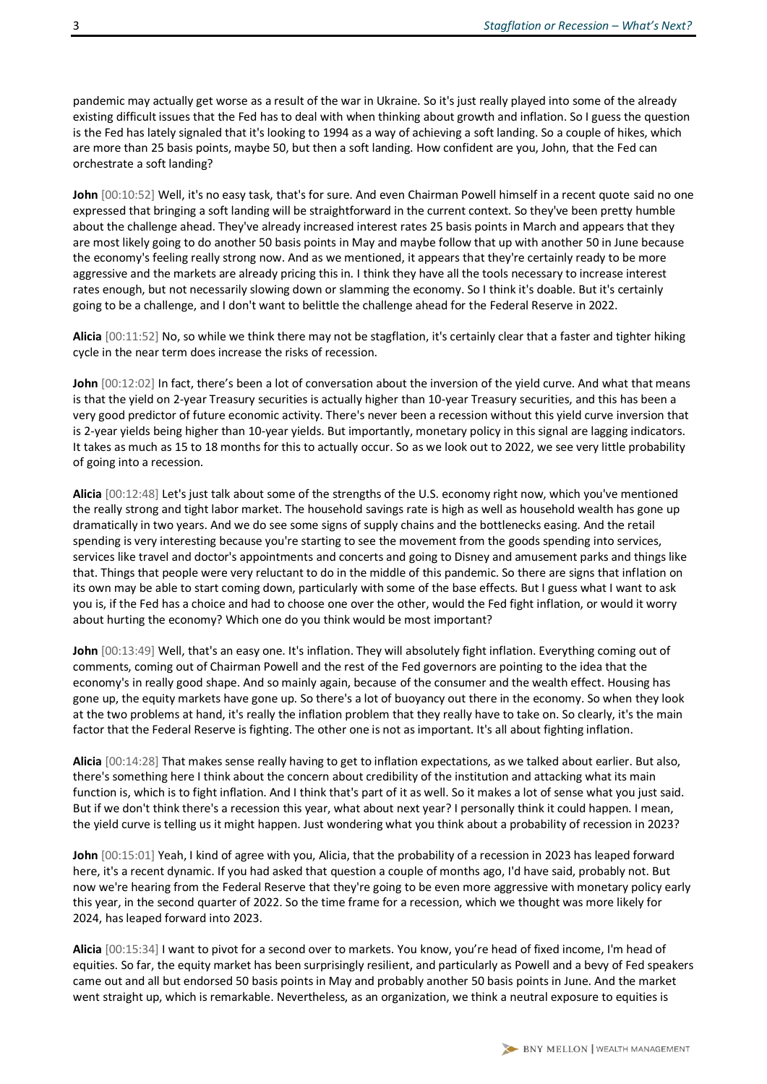pandemic may actually get worse as a result of the war in Ukraine. So it's just really played into some of the already existing difficult issues that the Fed has to deal with when thinking about growth and inflation. So I guess the question is the Fed has lately signaled that it's looking to 1994 as a way of achieving a soft landing. So a couple of hikes, which are more than 25 basis points, maybe 50, but then a soft landing. How confident are you, John, that the Fed can orchestrate a soft landing?

**John** [00:10:52] Well, it's no easy task, that's for sure. And even Chairman Powell himself in a recent quote said no one expressed that bringing a soft landing will be straightforward in the current context. So they've been pretty humble about the challenge ahead. They've already increased interest rates 25 basis points in March and appears that they are most likely going to do another 50 basis points in May and maybe follow that up with another 50 in June because the economy's feeling really strong now. And as we mentioned, it appears that they're certainly ready to be more aggressive and the markets are already pricing this in. I think they have all the tools necessary to increase interest rates enough, but not necessarily slowing down or slamming the economy. So I think it's doable. But it's certainly going to be a challenge, and I don't want to belittle the challenge ahead for the Federal Reserve in 2022.

**Alicia** [00:11:52] No, so while we think there may not be stagflation, it's certainly clear that a faster and tighter hiking cycle in the near term does increase the risks of recession.

**John** [00:12:02] In fact, there's been a lot of conversation about the inversion of the yield curve. And what that means is that the yield on 2-year Treasury securities is actually higher than 10-year Treasury securities, and this has been a very good predictor of future economic activity. There's never been a recession without this yield curve inversion that is 2-year yields being higher than 10-year yields. But importantly, monetary policy in this signal are lagging indicators. It takes as much as 15 to 18 months for this to actually occur. So as we look out to 2022, we see very little probability of going into a recession.

**Alicia** [00:12:48] Let's just talk about some of the strengths of the U.S. economy right now, which you've mentioned the really strong and tight labor market. The household savings rate is high as well as household wealth has gone up dramatically in two years. And we do see some signs of supply chains and the bottlenecks easing. And the retail spending is very interesting because you're starting to see the movement from the goods spending into services, services like travel and doctor's appointments and concerts and going to Disney and amusement parks and things like that. Things that people were very reluctant to do in the middle of this pandemic. So there are signs that inflation on its own may be able to start coming down, particularly with some of the base effects. But I guess what I want to ask you is, if the Fed has a choice and had to choose one over the other, would the Fed fight inflation, or would it worry about hurting the economy? Which one do you think would be most important?

**John** [00:13:49] Well, that's an easy one. It's inflation. They will absolutely fight inflation. Everything coming out of comments, coming out of Chairman Powell and the rest of the Fed governors are pointing to the idea that the economy's in really good shape. And so mainly again, because of the consumer and the wealth effect. Housing has gone up, the equity markets have gone up. So there's a lot of buoyancy out there in the economy. So when they look at the two problems at hand, it's really the inflation problem that they really have to take on. So clearly, it's the main factor that the Federal Reserve is fighting. The other one is not as important. It's all about fighting inflation.

**Alicia** [00:14:28] That makes sense really having to get to inflation expectations, as we talked about earlier. But also, there's something here I think about the concern about credibility of the institution and attacking what its main function is, which is to fight inflation. And I think that's part of it as well. So it makes a lot of sense what you just said. But if we don't think there's a recession this year, what about next year? I personally think it could happen. I mean, the yield curve is telling us it might happen. Just wondering what you think about a probability of recession in 2023?

**John** [00:15:01] Yeah, I kind of agree with you, Alicia, that the probability of a recession in 2023 has leaped forward here, it's a recent dynamic. If you had asked that question a couple of months ago, I'd have said, probably not. But now we're hearing from the Federal Reserve that they're going to be even more aggressive with monetary policy early this year, in the second quarter of 2022. So the time frame for a recession, which we thought was more likely for 2024, has leaped forward into 2023.

**Alicia** [00:15:34] I want to pivot for a second over to markets. You know, you're head of fixed income, I'm head of equities. So far, the equity market has been surprisingly resilient, and particularly as Powell and a bevy of Fed speakers came out and all but endorsed 50 basis points in May and probably another 50 basis points in June. And the market went straight up, which is remarkable. Nevertheless, as an organization, we think a neutral exposure to equities is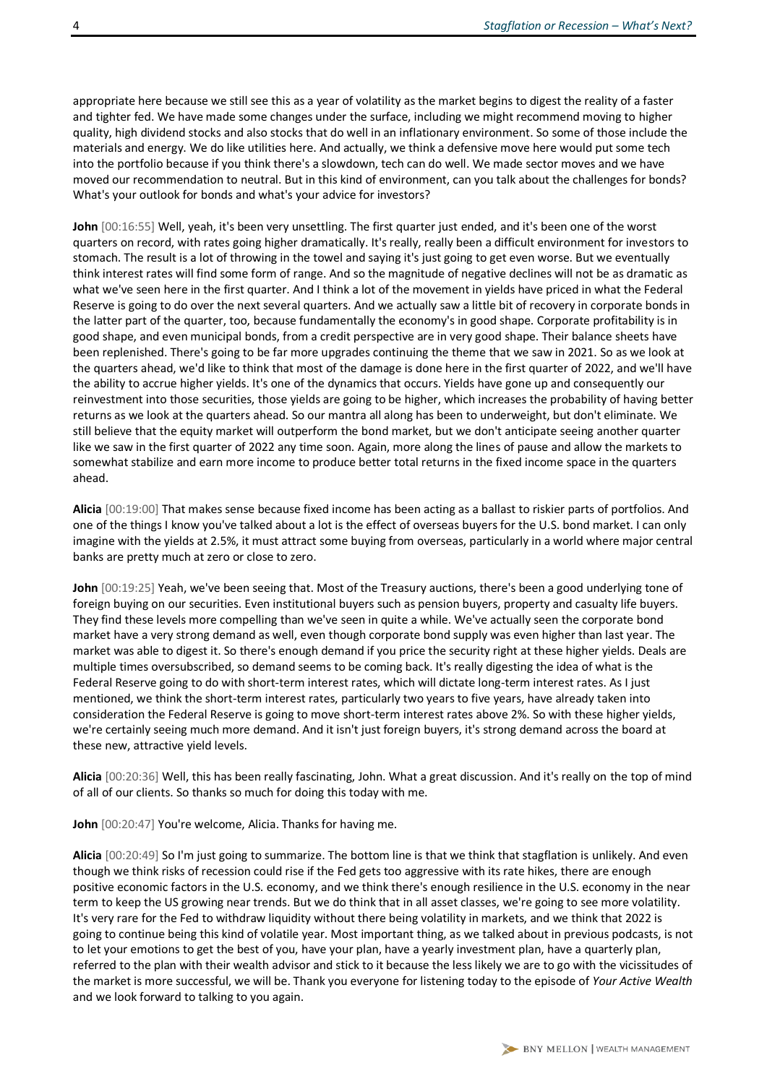appropriate here because we still see this as a year of volatility as the market begins to digest the reality of a faster and tighter fed. We have made some changes under the surface, including we might recommend moving to higher quality, high dividend stocks and also stocks that do well in an inflationary environment. So some of those include the materials and energy. We do like utilities here. And actually, we think a defensive move here would put some tech into the portfolio because if you think there's a slowdown, tech can do well. We made sector moves and we have moved our recommendation to neutral. But in this kind of environment, can you talk about the challenges for bonds? What's your outlook for bonds and what's your advice for investors?

**John** [00:16:55] Well, yeah, it's been very unsettling. The first quarter just ended, and it's been one of the worst quarters on record, with rates going higher dramatically. It's really, really been a difficult environment for investors to stomach. The result is a lot of throwing in the towel and saying it's just going to get even worse. But we eventually think interest rates will find some form of range. And so the magnitude of negative declines will not be as dramatic as what we've seen here in the first quarter. And I think a lot of the movement in yields have priced in what the Federal Reserve is going to do over the next several quarters. And we actually saw a little bit of recovery in corporate bonds in the latter part of the quarter, too, because fundamentally the economy's in good shape. Corporate profitability is in good shape, and even municipal bonds, from a credit perspective are in very good shape. Their balance sheets have been replenished. There's going to be far more upgrades continuing the theme that we saw in 2021. So as we look at the quarters ahead, we'd like to think that most of the damage is done here in the first quarter of 2022, and we'll have the ability to accrue higher yields. It's one of the dynamics that occurs. Yields have gone up and consequently our reinvestment into those securities, those yields are going to be higher, which increases the probability of having better returns as we look at the quarters ahead. So our mantra all along has been to underweight, but don't eliminate. We still believe that the equity market will outperform the bond market, but we don't anticipate seeing another quarter like we saw in the first quarter of 2022 any time soon. Again, more along the lines of pause and allow the markets to somewhat stabilize and earn more income to produce better total returns in the fixed income space in the quarters ahead.

**Alicia** [00:19:00] That makes sense because fixed income has been acting as a ballast to riskier parts of portfolios. And one of the things I know you've talked about a lot is the effect of overseas buyers for the U.S. bond market. I can only imagine with the yields at 2.5%, it must attract some buying from overseas, particularly in a world where major central banks are pretty much at zero or close to zero.

**John** [00:19:25] Yeah, we've been seeing that. Most of the Treasury auctions, there's been a good underlying tone of foreign buying on our securities. Even institutional buyers such as pension buyers, property and casualty life buyers. They find these levels more compelling than we've seen in quite a while. We've actually seen the corporate bond market have a very strong demand as well, even though corporate bond supply was even higher than last year. The market was able to digest it. So there's enough demand if you price the security right at these higher yields. Deals are multiple times oversubscribed, so demand seems to be coming back. It's really digesting the idea of what is the Federal Reserve going to do with short-term interest rates, which will dictate long-term interest rates. As I just mentioned, we think the short-term interest rates, particularly two years to five years, have already taken into consideration the Federal Reserve is going to move short-term interest rates above 2%. So with these higher yields, we're certainly seeing much more demand. And it isn't just foreign buyers, it's strong demand across the board at these new, attractive yield levels.

**Alicia** [00:20:36] Well, this has been really fascinating, John. What a great discussion. And it's really on the top of mind of all of our clients. So thanks so much for doing this today with me.

**John** [00:20:47] You're welcome, Alicia. Thanks for having me.

**Alicia** [00:20:49] So I'm just going to summarize. The bottom line is that we think that stagflation is unlikely. And even though we think risks of recession could rise if the Fed gets too aggressive with its rate hikes, there are enough positive economic factors in the U.S. economy, and we think there's enough resilience in the U.S. economy in the near term to keep the US growing near trends. But we do think that in all asset classes, we're going to see more volatility. It's very rare for the Fed to withdraw liquidity without there being volatility in markets, and we think that 2022 is going to continue being this kind of volatile year. Most important thing, as we talked about in previous podcasts, is not to let your emotions to get the best of you, have your plan, have a yearly investment plan, have a quarterly plan, referred to the plan with their wealth advisor and stick to it because the less likely we are to go with the vicissitudes of the market is more successful, we will be. Thank you everyone for listening today to the episode of *Your Active Wealth* and we look forward to talking to you again.